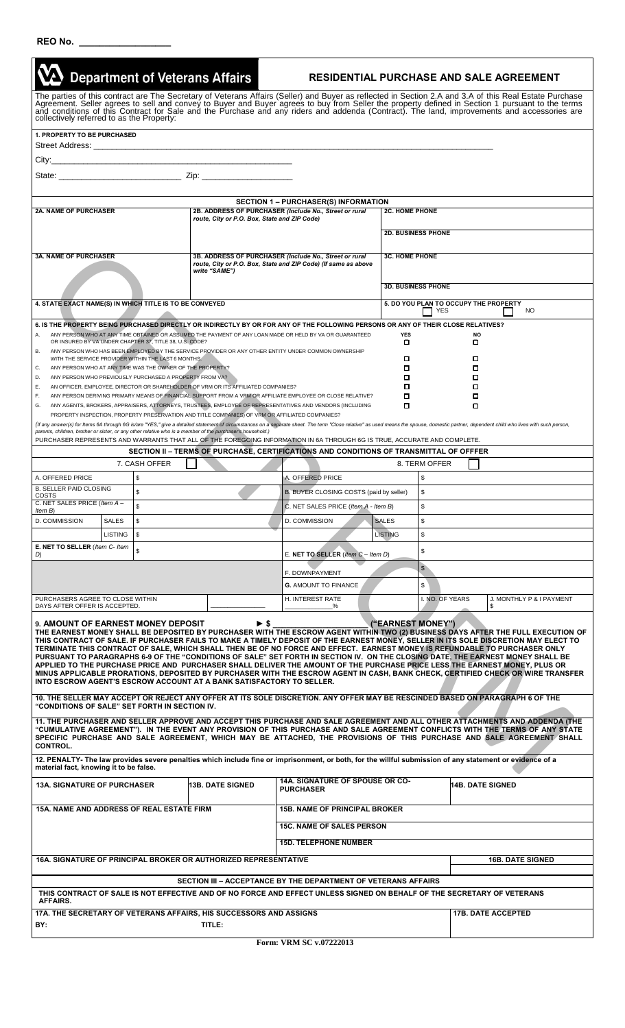| REO No. |  |  |  |  |  |
|---------|--|--|--|--|--|
|         |  |  |  |  |  |

|                                                                                                                                                                                                                                                                                                                                                                                                                                                                                                                                                                                                                                                                                                                                                                                                                                                                                                                                                                          |                                                         | <b>Department of Veterans Affairs</b> |  |                                              |  |                                                                | <b>RESIDENTIAL PURCHASE AND SALE AGREEMENT</b>                                                                                                                                                                     |                                       |                           |  |  |                           |           |                          |
|--------------------------------------------------------------------------------------------------------------------------------------------------------------------------------------------------------------------------------------------------------------------------------------------------------------------------------------------------------------------------------------------------------------------------------------------------------------------------------------------------------------------------------------------------------------------------------------------------------------------------------------------------------------------------------------------------------------------------------------------------------------------------------------------------------------------------------------------------------------------------------------------------------------------------------------------------------------------------|---------------------------------------------------------|---------------------------------------|--|----------------------------------------------|--|----------------------------------------------------------------|--------------------------------------------------------------------------------------------------------------------------------------------------------------------------------------------------------------------|---------------------------------------|---------------------------|--|--|---------------------------|-----------|--------------------------|
| The parties of this contract are The Secretary of Veterans Affairs (Seller) and Buyer as reflected in Section 2.A and 3.A of this Real Estate Purchase<br>Agreement. Seller agrees to sell and convey to Buyer and Buyer agrees t<br>collectively referred to as the Property:                                                                                                                                                                                                                                                                                                                                                                                                                                                                                                                                                                                                                                                                                           |                                                         |                                       |  |                                              |  |                                                                |                                                                                                                                                                                                                    |                                       |                           |  |  |                           |           |                          |
| <b>1. PROPERTY TO BE PURCHASED</b>                                                                                                                                                                                                                                                                                                                                                                                                                                                                                                                                                                                                                                                                                                                                                                                                                                                                                                                                       |                                                         |                                       |  |                                              |  |                                                                |                                                                                                                                                                                                                    |                                       |                           |  |  |                           |           |                          |
|                                                                                                                                                                                                                                                                                                                                                                                                                                                                                                                                                                                                                                                                                                                                                                                                                                                                                                                                                                          |                                                         |                                       |  |                                              |  |                                                                |                                                                                                                                                                                                                    |                                       |                           |  |  |                           |           |                          |
|                                                                                                                                                                                                                                                                                                                                                                                                                                                                                                                                                                                                                                                                                                                                                                                                                                                                                                                                                                          |                                                         |                                       |  |                                              |  |                                                                |                                                                                                                                                                                                                    |                                       |                           |  |  |                           |           |                          |
|                                                                                                                                                                                                                                                                                                                                                                                                                                                                                                                                                                                                                                                                                                                                                                                                                                                                                                                                                                          |                                                         |                                       |  |                                              |  |                                                                |                                                                                                                                                                                                                    |                                       |                           |  |  |                           |           |                          |
|                                                                                                                                                                                                                                                                                                                                                                                                                                                                                                                                                                                                                                                                                                                                                                                                                                                                                                                                                                          | <b>SECTION 1 - PURCHASER(S) INFORMATION</b>             |                                       |  |                                              |  |                                                                |                                                                                                                                                                                                                    |                                       |                           |  |  |                           |           |                          |
| <b>2A. NAME OF PURCHASER</b>                                                                                                                                                                                                                                                                                                                                                                                                                                                                                                                                                                                                                                                                                                                                                                                                                                                                                                                                             |                                                         |                                       |  | route, City or P.O. Box, State and ZIP Code) |  |                                                                | 2B. ADDRESS OF PURCHASER (Include No., Street or rural                                                                                                                                                             | <b>2C. HOME PHONE</b>                 |                           |  |  |                           |           |                          |
|                                                                                                                                                                                                                                                                                                                                                                                                                                                                                                                                                                                                                                                                                                                                                                                                                                                                                                                                                                          |                                                         |                                       |  |                                              |  |                                                                |                                                                                                                                                                                                                    |                                       | <b>2D. BUSINESS PHONE</b> |  |  |                           |           |                          |
| <b>3A. NAME OF PURCHASER</b>                                                                                                                                                                                                                                                                                                                                                                                                                                                                                                                                                                                                                                                                                                                                                                                                                                                                                                                                             |                                                         |                                       |  |                                              |  |                                                                | 3B. ADDRESS OF PURCHASER (Include No., Street or rural                                                                                                                                                             |                                       | <b>3C. HOME PHONE</b>     |  |  |                           |           |                          |
|                                                                                                                                                                                                                                                                                                                                                                                                                                                                                                                                                                                                                                                                                                                                                                                                                                                                                                                                                                          |                                                         |                                       |  | write "SAME")                                |  | route, City or P.O. Box, State and ZIP Code) (If same as above |                                                                                                                                                                                                                    |                                       |                           |  |  |                           |           |                          |
|                                                                                                                                                                                                                                                                                                                                                                                                                                                                                                                                                                                                                                                                                                                                                                                                                                                                                                                                                                          |                                                         |                                       |  |                                              |  |                                                                |                                                                                                                                                                                                                    |                                       | <b>3D. BUSINESS PHONE</b> |  |  |                           |           |                          |
|                                                                                                                                                                                                                                                                                                                                                                                                                                                                                                                                                                                                                                                                                                                                                                                                                                                                                                                                                                          | 4. STATE EXACT NAME(S) IN WHICH TITLE IS TO BE CONVEYED |                                       |  |                                              |  |                                                                |                                                                                                                                                                                                                    | 5. DO YOU PLAN TO OCCUPY THE PROPERTY |                           |  |  |                           |           |                          |
|                                                                                                                                                                                                                                                                                                                                                                                                                                                                                                                                                                                                                                                                                                                                                                                                                                                                                                                                                                          |                                                         |                                       |  |                                              |  |                                                                |                                                                                                                                                                                                                    |                                       | <b>YES</b>                |  |  |                           | <b>NO</b> |                          |
| 6. IS THE PROPERTY BEING PURCHASED DIRECTLY OR INDIRECTLY BY OR FOR ANY OF THE FOLLOWING PERSONS OR ANY OF THEIR CLOSE RELATIVES?<br>ANY PERSON WHO AT ANY TIME OBTAINED OR ASSUMED THE PAYMENT OF ANY LOAN MADE OR HELD BY VA OR GUARANTEED<br><b>YES</b><br><b>NO</b><br>Α.<br>OR INSURED BY VA UNDER CHAPTER 37, TITLE 38, U.S. CODE?<br>о<br>▫<br>ANY PERSON WHO HAS BEEN EMPLOYED BY THE SERVICE PROVIDER OR ANY OTHER ENTITY UNDER COMMON OWNERSHIP<br>В.<br>WITH THE SERVICE PROVIDER WITHIN THE LAST 6 MONTHS.<br>□<br>0<br>ANY PERSON WHO AT ANY TIME WAS THE OWNER OF THE PROPERTY?<br>П<br>C.<br>□<br>ANY PERSON WHO PREVIOUSLY PURCHASED A PROPERTY FROM VA?<br>о<br>□<br>D.<br>AN OFFICER, EMPLOYEE, DIRECTOR OR SHAREHOLDER OF VRM OR ITS AFFILIATED COMPANIES?<br>Ε.<br>□<br>□<br>ANY PERSON DERIVING PRIMARY MEANS OF FINANCIAL SUPPORT FROM A VRM OR AFFILIATE EMPLOYEE OR CLOSE RELATIVE?<br>о<br>□<br>F.                                              |                                                         |                                       |  |                                              |  |                                                                |                                                                                                                                                                                                                    |                                       |                           |  |  |                           |           |                          |
| ANY AGENTS, BROKERS, APPRAISERS, ATTORNEYS, TRUSTEES, EMPLOYEE OF REPRESENTATIVES AND VENDORS (INCLUDING<br>о<br>□<br>G.<br>PROPERTY INSPECTION, PROPERTY PRESERVATION AND TITLE COMPANIES) OF VRM OR AFFILIATED COMPANIES?<br>(If any answer(s) for Items 6A through 6G is/are "YES," give a detailed statement of circumstances on a separate sheet. The term "Close relative" as used means the spouse, domestic partner, dependent child who lives with s<br>parents, children, brother or sister, or any other relative who is a member of the purchaser's household.)                                                                                                                                                                                                                                                                                                                                                                                              |                                                         |                                       |  |                                              |  |                                                                |                                                                                                                                                                                                                    |                                       |                           |  |  |                           |           |                          |
|                                                                                                                                                                                                                                                                                                                                                                                                                                                                                                                                                                                                                                                                                                                                                                                                                                                                                                                                                                          |                                                         |                                       |  |                                              |  |                                                                | PURCHASER REPRESENTS AND WARRANTS THAT ALL OF THE FOREGOING INFORMATION IN 6A THROUGH 6G IS TRUE, ACCURATE AND COMPLETE.<br>SECTION II - TERMS OF PURCHASE, CERTIFICATIONS AND CONDITIONS OF TRANSMITTAL OF OFFFER |                                       |                           |  |  |                           |           |                          |
|                                                                                                                                                                                                                                                                                                                                                                                                                                                                                                                                                                                                                                                                                                                                                                                                                                                                                                                                                                          |                                                         | 7. CASH OFFER                         |  |                                              |  |                                                                |                                                                                                                                                                                                                    |                                       | 8. TERM OFFER             |  |  |                           |           |                          |
| A. OFFERED PRICE                                                                                                                                                                                                                                                                                                                                                                                                                                                                                                                                                                                                                                                                                                                                                                                                                                                                                                                                                         |                                                         | \$                                    |  |                                              |  |                                                                | A. OFFERED PRICE                                                                                                                                                                                                   |                                       | \$                        |  |  |                           |           |                          |
| <b>B. SELLER PAID CLOSING</b><br>COSTS                                                                                                                                                                                                                                                                                                                                                                                                                                                                                                                                                                                                                                                                                                                                                                                                                                                                                                                                   |                                                         | \$                                    |  |                                              |  |                                                                | B. BUYER CLOSING COSTS (paid by seller)                                                                                                                                                                            |                                       | \$                        |  |  |                           |           |                          |
| C. NET SALES PRICE (Item A -<br>Item B)                                                                                                                                                                                                                                                                                                                                                                                                                                                                                                                                                                                                                                                                                                                                                                                                                                                                                                                                  |                                                         |                                       |  |                                              |  |                                                                | C. NET SALES PRICE (Item A - Item B)                                                                                                                                                                               |                                       | $\hat{\mathcal{L}}$       |  |  |                           |           |                          |
| D. COMMISSION                                                                                                                                                                                                                                                                                                                                                                                                                                                                                                                                                                                                                                                                                                                                                                                                                                                                                                                                                            | <b>SALES</b>                                            | \$                                    |  |                                              |  |                                                                | D. COMMISSION                                                                                                                                                                                                      | <b>SALES</b>                          | \$                        |  |  |                           |           |                          |
|                                                                                                                                                                                                                                                                                                                                                                                                                                                                                                                                                                                                                                                                                                                                                                                                                                                                                                                                                                          | <b>LISTING</b><br>$\mathfrak{s}$                        |                                       |  |                                              |  |                                                                |                                                                                                                                                                                                                    | <b>LISTING</b>                        | \$                        |  |  |                           |           |                          |
| E. NET TO SELLER (Item C- Item<br>\$<br>D)                                                                                                                                                                                                                                                                                                                                                                                                                                                                                                                                                                                                                                                                                                                                                                                                                                                                                                                               |                                                         |                                       |  |                                              |  |                                                                | E. NET TO SELLER (Item $C -$ Item D)                                                                                                                                                                               |                                       | \$                        |  |  |                           |           |                          |
|                                                                                                                                                                                                                                                                                                                                                                                                                                                                                                                                                                                                                                                                                                                                                                                                                                                                                                                                                                          |                                                         |                                       |  |                                              |  |                                                                | F. DOWNPAYMENT                                                                                                                                                                                                     |                                       | $\sqrt{2}$                |  |  |                           |           |                          |
|                                                                                                                                                                                                                                                                                                                                                                                                                                                                                                                                                                                                                                                                                                                                                                                                                                                                                                                                                                          |                                                         |                                       |  |                                              |  |                                                                | <b>G. AMOUNT TO FINANCE</b>                                                                                                                                                                                        |                                       | $$\mathbb{S}$$            |  |  |                           |           |                          |
| PURCHASERS AGREE TO CLOSE WITHIN<br>DAYS AFTER OFFER IS ACCEPTED.                                                                                                                                                                                                                                                                                                                                                                                                                                                                                                                                                                                                                                                                                                                                                                                                                                                                                                        |                                                         |                                       |  |                                              |  |                                                                | H. INTEREST RATE<br>%                                                                                                                                                                                              |                                       | I. NO. OF YEARS           |  |  | S                         |           | J. MONTHLY P & I PAYMENT |
| 9. AMOUNT OF EARNEST MONEY DEPOSIT<br>$\blacktriangleright$ \$<br>("EARNEST MONEY")<br>THE EARNEST MONEY SHALL BE DEPOSITED BY PURCHASER WITH THE ESCROW AGENT WITHIN TWO (2) BUSINESS DAYS AFTER THE FULL EXECUTION OF<br>THIS CONTRACT OF SALE. IF PURCHASER FAILS TO MAKE A TIMELY DEPOSIT OF THE EARNEST MONEY, SELLER IN ITS SOLE DISCRETION MAY ELECT TO<br>TERMINATE THIS CONTRACT OF SALE, WHICH SHALL THEN BE OF NO FORCE AND EFFECT. EARNEST MONEY IS REFUNDABLE TO PURCHASER ONLY<br>PURSUANT TO PARAGRAPHS 6-9 OF THE "CONDITIONS OF SALE" SET FORTH IN SECTION IV. ON THE CLOSING DATE, THE EARNEST MONEY SHALL BE<br>APPLIED TO THE PURCHASE PRICE AND PURCHASER SHALL DELIVER THE AMOUNT OF THE PURCHASE PRICE LESS THE EARNEST MONEY, PLUS OR<br>MINUS APPLICABLE PRORATIONS, DEPOSITED BY PURCHASER WITH THE ESCROW AGENT IN CASH, BANK CHECK, CERTIFIED CHECK OR WIRE TRANSFER<br>INTO ESCROW AGENT'S ESCROW ACCOUNT AT A BANK SATISFACTORY TO SELLER. |                                                         |                                       |  |                                              |  |                                                                |                                                                                                                                                                                                                    |                                       |                           |  |  |                           |           |                          |
| "CONDITIONS OF SALE" SET FORTH IN SECTION IV.                                                                                                                                                                                                                                                                                                                                                                                                                                                                                                                                                                                                                                                                                                                                                                                                                                                                                                                            |                                                         |                                       |  |                                              |  |                                                                | 10. THE SELLER MAY ACCEPT OR REJECT ANY OFFER AT ITS SOLE DISCRETION. ANY OFFER MAY BE RESCINDED BASED ON PARAGRAPH 6 OF THE                                                                                       |                                       |                           |  |  |                           |           |                          |
| 11. THE PURCHASER AND SELLER APPROVE AND ACCEPT THIS PURCHASE AND SALE AGREEMENT AND ALL OTHER ATTACHMENTS AND ADDENDA (THE<br>"CUMULATIVE AGREEMENT"). IN THE EVENT ANY PROVISION OF THIS PURCHASE AND SALE AGREEMENT CONFLICTS WITH THE TERMS OF ANY STATE<br>SPECIFIC PURCHASE AND SALE AGREEMENT, WHICH MAY BE ATTACHED, THE PROVISIONS OF THIS PURCHASE AND SALE AGREEMENT SHALL<br><b>CONTROL.</b>                                                                                                                                                                                                                                                                                                                                                                                                                                                                                                                                                                 |                                                         |                                       |  |                                              |  |                                                                |                                                                                                                                                                                                                    |                                       |                           |  |  |                           |           |                          |
| 12. PENALTY- The law provides severe penalties which include fine or imprisonment, or both, for the willful submission of any statement or evidence of a<br>material fact, knowing it to be false.                                                                                                                                                                                                                                                                                                                                                                                                                                                                                                                                                                                                                                                                                                                                                                       |                                                         |                                       |  |                                              |  |                                                                |                                                                                                                                                                                                                    |                                       |                           |  |  |                           |           |                          |
| 14A. SIGNATURE OF SPOUSE OR CO-<br><b>13B. DATE SIGNED</b><br><b>13A. SIGNATURE OF PURCHASER</b><br><b>14B. DATE SIGNED</b><br><b>PURCHASER</b>                                                                                                                                                                                                                                                                                                                                                                                                                                                                                                                                                                                                                                                                                                                                                                                                                          |                                                         |                                       |  |                                              |  |                                                                |                                                                                                                                                                                                                    |                                       |                           |  |  |                           |           |                          |
| <b>15A. NAME AND ADDRESS OF REAL ESTATE FIRM</b><br><b>15B. NAME OF PRINCIPAL BROKER</b>                                                                                                                                                                                                                                                                                                                                                                                                                                                                                                                                                                                                                                                                                                                                                                                                                                                                                 |                                                         |                                       |  |                                              |  |                                                                |                                                                                                                                                                                                                    |                                       |                           |  |  |                           |           |                          |
|                                                                                                                                                                                                                                                                                                                                                                                                                                                                                                                                                                                                                                                                                                                                                                                                                                                                                                                                                                          | <b>15C. NAME OF SALES PERSON</b>                        |                                       |  |                                              |  |                                                                |                                                                                                                                                                                                                    |                                       |                           |  |  |                           |           |                          |
|                                                                                                                                                                                                                                                                                                                                                                                                                                                                                                                                                                                                                                                                                                                                                                                                                                                                                                                                                                          |                                                         |                                       |  |                                              |  |                                                                | <b>15D. TELEPHONE NUMBER</b>                                                                                                                                                                                       |                                       |                           |  |  |                           |           |                          |
| 16A. SIGNATURE OF PRINCIPAL BROKER OR AUTHORIZED REPRESENTATIVE                                                                                                                                                                                                                                                                                                                                                                                                                                                                                                                                                                                                                                                                                                                                                                                                                                                                                                          |                                                         |                                       |  |                                              |  |                                                                |                                                                                                                                                                                                                    |                                       |                           |  |  | <b>16B. DATE SIGNED</b>   |           |                          |
|                                                                                                                                                                                                                                                                                                                                                                                                                                                                                                                                                                                                                                                                                                                                                                                                                                                                                                                                                                          |                                                         |                                       |  |                                              |  |                                                                | SECTION III – ACCEPTANCE BY THE DEPARTMENT OF VETERANS AFFAIRS                                                                                                                                                     |                                       |                           |  |  |                           |           |                          |
|                                                                                                                                                                                                                                                                                                                                                                                                                                                                                                                                                                                                                                                                                                                                                                                                                                                                                                                                                                          |                                                         |                                       |  |                                              |  |                                                                | THIS CONTRACT OF SALE IS NOT EFFECTIVE AND OF NO FORCE AND EFFECT UNLESS SIGNED ON BEHALF OF THE SECRETARY OF VETERANS                                                                                             |                                       |                           |  |  |                           |           |                          |
| AFFAIRS.                                                                                                                                                                                                                                                                                                                                                                                                                                                                                                                                                                                                                                                                                                                                                                                                                                                                                                                                                                 |                                                         |                                       |  |                                              |  |                                                                |                                                                                                                                                                                                                    |                                       |                           |  |  | <b>17B. DATE ACCEPTED</b> |           |                          |
| 17A. THE SECRETARY OF VETERANS AFFAIRS, HIS SUCCESSORS AND ASSIGNS<br>BY:                                                                                                                                                                                                                                                                                                                                                                                                                                                                                                                                                                                                                                                                                                                                                                                                                                                                                                |                                                         |                                       |  | TITLE:                                       |  |                                                                |                                                                                                                                                                                                                    |                                       |                           |  |  |                           |           |                          |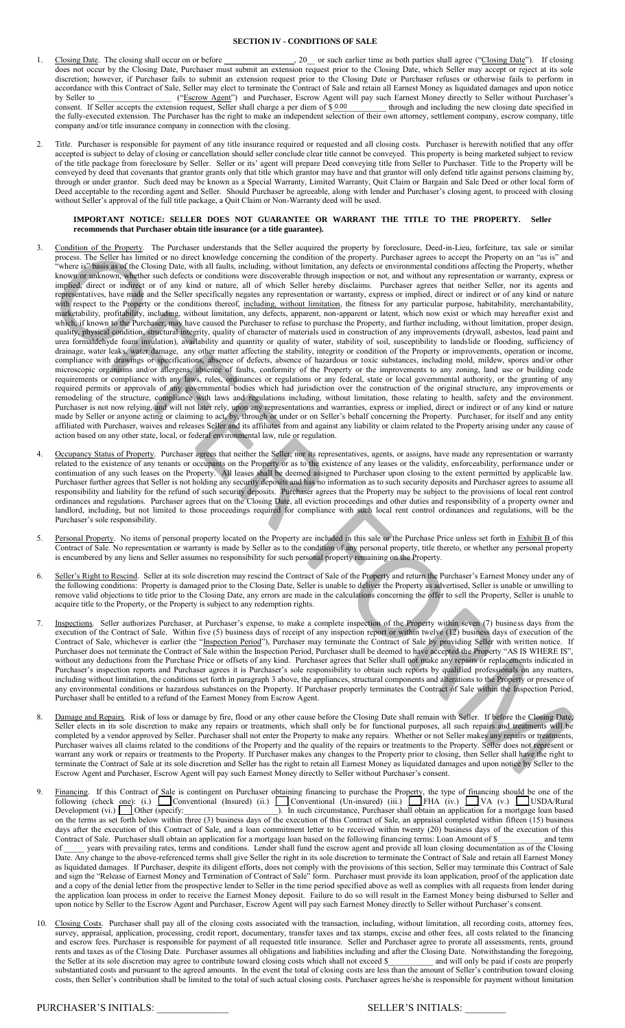## **SECTION IV - CONDITIONS OF SALE**

- 1. Closing Date. The closing shall occur on or before \_\_\_\_\_\_\_\_\_\_\_\_\_\_\_\_\_\_\_\_\_\_\_\_\_\_\_, 20\_\_ or such earlier time as both parties shall agree ("Closing Date"). If closing does not occur by the Closing Date, Purchaser must submit an extension request prior to the Closing Date, which Seller may accept or reject at its sole discretion; however, if Purchaser fails to submit an extension request prior to the Closing Date or Purchaser refuses or otherwise fails to perform in accordance with this Contract of Sale, Seller may elect to terminate the Contract of Sale and retain all Earnest Money as liquidated damages and upon notice by Seller to \_\_\_\_\_\_\_\_\_\_\_\_\_\_\_\_\_\_ ("Escrow Agent") and Purchaser, Escrow Agent will pay such Earnest Money directly to Seller without Purchaser's consent. If Seller accepts the extension request, Seller shall charge a per diem of  $$0.00$  through and including the new closing date specified in the fully-executed extension. The Purchaser has the right to make an independent selection of their own attorney, settlement company, escrow company, title company and/or title insurance company in connection with the closing. 0.00
- 2. Title. Purchaser is responsible for payment of any title insurance required or requested and all closing costs. Purchaser is herewith notified that any offer accepted is subject to delay of closing or cancellation should seller conclude clear title cannot be conveyed. This property is being marketed subject to review of the title package from foreclosure by Seller. Seller or its' agent will prepare Deed conveying title from Seller to Purchaser. Title to the Property will be conveyed by deed that covenants that grantor grants only that title which grantor may have and that grantor will only defend title against persons claiming by, through or under grantor. Such deed may be known as a Special Warranty, Limited Warranty, Quit Claim or Bargain and Sale Deed or other local form of Deed acceptable to the recording agent and Seller. Should Purchaser be agreeable, along with lender and Purchaser's closing agent, to proceed with closing without Seller's approval of the full title package, a Quit Claim or Non-Warranty deed will be used.

## **IMPORTANT NOTICE: SELLER DOES NOT GUARANTEE OR WARRANT THE TITLE TO THE PROPERTY. Seller recommends that Purchaser obtain title insurance (or a title guarantee).**

- Contents the broad in the broad interest in the broad interest in the broad interest in the broad interest in the broad interest in the broad interest in the broad interest in the broad interest in the broad interest in t 3. Condition of the Property. The Purchaser understands that the Seller acquired the property by foreclosure, Deed-in-Lieu, forfeiture, tax sale or similar process. The Seller has limited or no direct knowledge concerning the condition of the property. Purchaser agrees to accept the Property on an "as is" and 'where is" basis as of the Closing Date, with all faults, including, without limitation, any defects or environmental conditions affecting the Property, whether known or unknown, whether such defects or conditions were discoverable through inspection or not, and without any representation or warranty, express or implied, direct or indirect or of any kind or nature, all of which Seller hereby disclaims. Purchaser agrees that neither Seller, nor its agents and representatives, have made and the Seller specifically negates any representation or warranty, express or implied, direct or indirect or of any kind or nature with respect to the Property or the conditions thereof, including, without limitation, the fitness for any particular purpose, habitability, merchantability, marketability, profitability, including, without limitation, any defects, apparent, non-apparent or latent, which now exist or which may hereafter exist and which, if known to the Purchaser, may have caused the Purchaser to refuse to purchase the Property, and further including, without limitation, proper design, quality, physical condition, structural integrity, quality of character of materials used in construction of any improvements (drywall, asbestos, lead paint and urea formaldehyde foam insulation), availability and quantity or quality of water, stability of soil, susceptibility to landslide or flooding, sufficiency of drainage, water leaks, water damage, any other matter affecting the stability, integrity or condition of the Property or improvements, operation or income, compliance with drawings or specifications, absence of defects, absence of hazardous or toxic substances, including mold, mildew, spores and/or other microscopic organisms and/or allergens, absence of faults, conformity of the Property or the improvements to any zoning, land use or building code requirements or compliance with any laws, rules, ordinances or regulations or any federal, state or local governmental authority, or the granting of any required permits or approvals of any governmental bodies which had jurisdiction over the construction of the original structure, any improvements or remodeling of the structure, compliance with laws and regulations including, without limitation, those relating to health, safety and the environment. Purchaser is not now relying, and will not later rely, upon any representations and warranties, express or implied, direct or indirect or of any kind or nature made by Seller or anyone acting or claiming to act, by, through or under or on Seller's behalf concerning the Property. Purchaser, for itself and any entity affiliated with Purchaser, waives and releases Seller and its affiliates from and against any liability or claim related to the Property arising under any cause of action based on any other state, local, or federal environmental law, rule or regulation.
- 4. Occupancy Status of Property. Purchaser agrees that neither the Seller, nor its representatives, agents, or assigns, have made any representation or warranty related to the existence of any tenants or occupants on the Property or as to the existence of any leases or the validity, enforceability, performance under or continuation of any such leases on the Property. All leases shall be deemed assigned to Purchaser upon closing to the extent permitted by applicable law. Purchaser further agrees that Seller is not holding any security deposits and has no information as to such security deposits and Purchaser agrees to assume all responsibility and liability for the refund of such security deposits. Purchaser agrees that the Property may be subject to the provisions of local rent control ordinances and regulations. Purchaser agrees that on the Closing Date, all eviction proceedings and other duties and responsibility of a property owner and landlord, including, but not limited to those proceedings required for compliance with such local rent control ordinances and regulations, will be the Purchaser's sole responsibility.
- 5. Personal Property. No items of personal property located on the Property are included in this sale or the Purchase Price unless set forth in Exhibit B of this Contract of Sale. No representation or warranty is made by Seller as to the condition of any personal property, title thereto, or whether any personal property is encumbered by any liens and Seller assumes no responsibility for such personal property remaining on the Property.
- 6. Seller's Right to Rescind. Seller at its sole discretion may rescind the Contract of Sale of the Property and return the Purchaser's Earnest Money under any of the following conditions: Property is damaged prior to the Closing Date, Seller is unable to deliver the Property as advertised, Seller is unable or unwilling to remove valid objections to title prior to the Closing Date, any errors are made in the calculations concerning the offer to sell the Property, Seller is unable to acquire title to the Property, or the Property is subject to any redemption rights.
- 7. Inspections. Seller authorizes Purchaser, at Purchaser's expense, to make a complete inspection of the Property within seven (7) business days from the execution of the Contract of Sale. Within five (5) business days of receipt of any inspection report or within twelve (12) business days of execution of the Contract of Sale, whichever is earlier (the "Inspection Period"), Purchaser may terminate the Contract of Sale by providing Seller with written notice. If Purchaser does not terminate the Contract of Sale within the Inspection Period, Purchaser shall be deemed to have accepted the Property "AS IS WHERE IS", without any deductions from the Purchase Price or offsets of any kind. Purchaser agrees that Seller shall not make any repairs or replacements indicated in Purchaser's inspection reports and Purchaser agrees it is Purchaser's sole responsibility to obtain such reports by qualified professionals on any matters, including without limitation, the conditions set forth in paragraph 3 above, the appliances, structural components and alterations to the Property or presence of any environmental conditions or hazardous substances on the Property. If Purchaser properly terminates the Contract of Sale within the Inspection Period, Purchaser shall be entitled to a refund of the Earnest Money from Escrow Agent.
- 8. Damage and Repairs. Risk of loss or damage by fire, flood or any other cause before the Closing Date shall remain with Seller. If before the Closing Date, Seller elects in its sole discretion to make any repairs or treatments, which shall only be for functional purposes, all such repairs and treatments will be completed by a vendor approved by Seller. Purchaser shall not enter the Property to make any repairs. Whether or not Seller makes any repairs or treatments, Purchaser waives all claims related to the conditions of the Property and the quality of the repairs or treatments to the Property. Seller does not represent or warrant any work or repairs or treatments to the Property. If Purchaser makes any changes to the Property prior to closing, then Seller shall have the right to terminate the Contract of Sale at its sole discretion and Seller has the right to retain all Earnest Money as liquidated damages and upon notice by Seller to the Escrow Agent and Purchaser, Escrow Agent will pay such Earnest Money directly to Seller without Purchaser's consent.
- 9. Financing. If this Contract of Sale is contingent on Purchaser obtaining financing to purchase the Property, the type of financing should be one of the following (check <u>one</u>): (i.) Conventional (Insured) (ii.) Conventional (Un-insured) (iii.) LETHA (iv.) LEVA (v.) LEUSDA/Rural Development (vi.)  $\Box$  Other (specify:  $\Box$  Other (specify:  $\Box$ ). In such circumstance, Purchaser shall obtain an application for a mortgage loan based on the terms as set forth below within three (3) business days of the execution of this Contract of Sale, an appraisal completed within fifteen (15) business days after the execution of this Contract of Sale, and a loan commitment letter to be received within twenty (20) business days of the execution of this Contract of Sale. Purchaser shall obtain an application for a mortgage loan based on the following financing terms: Loan Amount of \$\_\_\_\_\_\_\_\_\_\_\_ and term of \_\_\_\_\_ years with prevailing rates, terms and conditions. Lender shall fund the escrow agent and provide all loan closing documentation as of the Closing Date. Any change to the above-referenced terms shall give Seller the right in its sole discretion to terminate the Contract of Sale and retain all Earnest Money as liquidated damages. If Purchaser, despite its diligent efforts, does not comply with the provisions of this section, Seller may terminate this Contract of Sale and sign the "Release of Earnest Money and Termination of Contract of Sale" form. Purchaser must provide its loan application, proof of the application date and a copy of the denial letter from the prospective lender to Seller in the time period specified above as well as complies with all requests from lender during the application loan process in order to receive the Earnest Money deposit. Failure to do so will result in the Earnest Money being disbursed to Seller and upon notice by Seller to the Escrow Agent and Purchaser, Escrow Agent will pay such Earnest Money directly to Seller without Purchaser's consent.
- 10. Closing Costs. Purchaser shall pay all of the closing costs associated with the transaction, including, without limitation, all recording costs, attorney fees, survey, appraisal, application, processing, credit report, documentary, transfer taxes and tax stamps, excise and other fees, all costs related to the financing and escrow fees. Purchaser is responsible for payment of all requested title insurance. Seller and Purchaser agree to prorate all assessments, rents, ground rents and taxes as of the Closing Date. Purchaser assumes all obligations and liabilities including and after the Closing Date. Notwithstanding the foregoing, the Seller at its sole discretion may agree to contribute toward closing costs which shall not exceed \$\_\_\_\_\_\_\_\_\_\_\_ and will only be paid if costs are properly substantiated costs and pursuant to the agreed amounts. In the event the total of closing costs are less than the amount of Seller's contribution toward closing costs, then Seller's contribution shall be limited to the total of such actual closing costs. Purchaser agrees he/she is responsible for payment without limitation